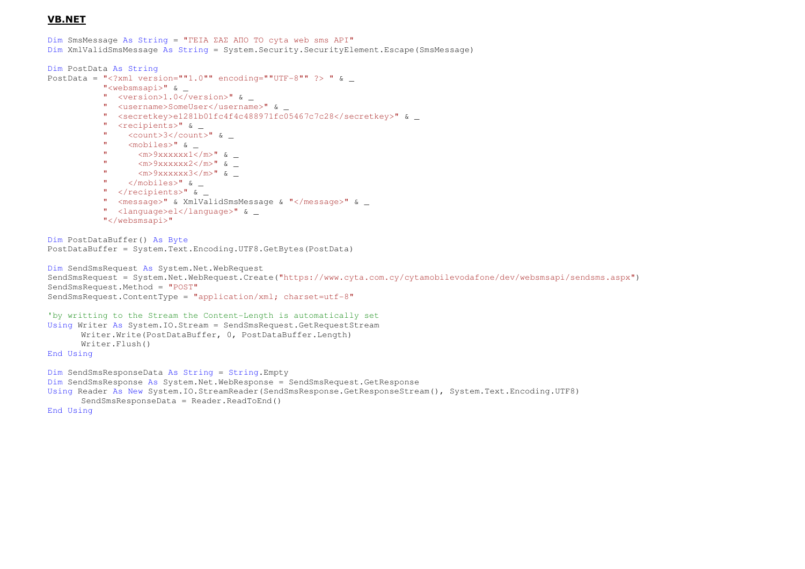## VB.NET

```
Dim SmsMessage As String = "ΓΕΙΑ ΣΑΣ ΑΠΟ ΤΟ cyta web sms API" 
Dim XmlValidSmsMessage As String = System.Security.SecurityElement.Escape(SmsMessage)
```

```
Dim PostData As String
```

```
PostData = "<?xml version=""1.0"" encoding=""UTF-8"" ?> " \&
```
- "<websmsapi>" & \_
- " <version>1.0</version>" & \_
- " <username>SomeUser</username>" & \_
- " <secretkey>e1281b01fc4f4c488971fc05467c7c28</secretkey>" & \_
- " <recipients>" & \_
- " <count>3</count>" & \_
- " <mobiles>" & \_
- " <m>9xxxxxx1</m>" & \_
- " <m>9xxxxxx2</m>" & \_
- " <m>9xxxxxx3</m>" & \_
- "  $\langle / \text{mobileles} \rangle$ " &  $\angle$
- " </recipients>" & \_
- " <message>" & XmlValidSmsMessage & "</message>" & \_
- " <language>el</language>" & \_
- "</websmsapi>"

```
Dim PostDataBuffer() As Byte 
PostDataBuffer = System.Text.Encoding.UTF8.GetBytes(PostData)
```

```
Dim SendSmsRequest As System.Net.WebRequest 
SendSmsRequest = System.Net.WebRequest.Create("https://www.cyta.com.cy/cytamobilevodafone/dev/websmsapi/sendsms.aspx") SendSmsRequest.Method = "POST" 
SendSmsRequest.ContentType = "application/xml; charset=utf-8"
```

```
'by writting to the Stream the Content-Length is automatically set 
Using Writer As System.IO.Stream = SendSmsRequest.GetRequestStreamWriter.Write(PostDataBuffer, 0, PostDataBuffer.Length) Writer.Flush() End Using
```

```
Dim SendSmsResponseData As String = String.Empty 
Dim SendSmsResponse As System.Net.WebResponse = SendSmsRequest.GetResponse 
Using Reader As New System.IO.StreamReader(SendSmsResponse.GetResponseStream(), System.Text.Encoding.UTF8) 
      SendSmsResponseData = Reader.ReadToEnd() End Using
```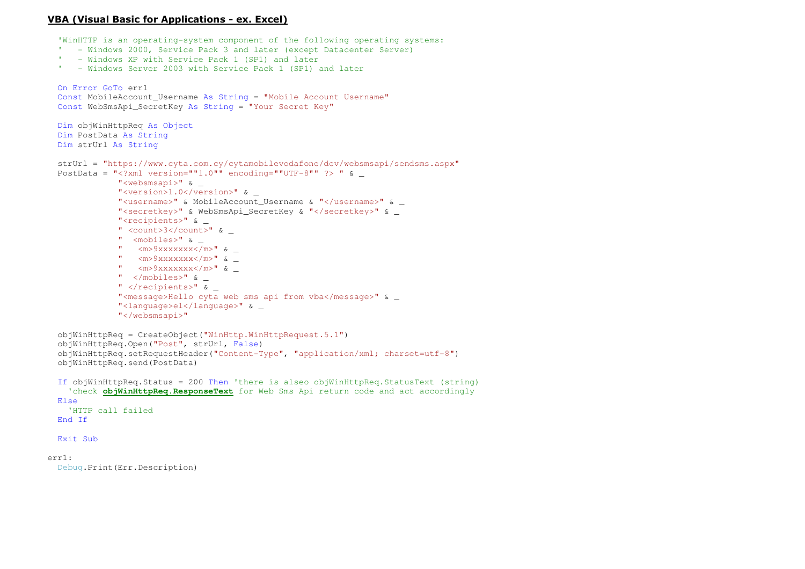## VBA (Visual Basic for Applications - ex. Excel)

'WinHTTP is an operating-system component of the following operating systems:

- ' Windows 2000, Service Pack 3 and later (except Datacenter Server)
- ' Windows XP with Service Pack 1 (SP1) and later
- ' Windows Server 2003 with Service Pack 1 (SP1) and later

```
On Error GoTo err1 
  Const MobileAccount_Username As String = "Mobile Account Username"
  Const WebSmsApi_SecretKey As String = "Your Secret Key"
  Dim objWinHttpReq As Object
  Dim PostData As String
  Dim strUrl As String
  strUrl = "https://www.cyta.com.cy/cytamobilevodafone/dev/websmsapi/sendsms.aspx"PostData = "<?xml version=""1.0"" encoding=""UTF-8"" ?> " \&"<websmsapi>" & _ 
"<version>1.0</version>" & _ 
"<username>" & MobileAccount_Username & "</username>" & _ "<secretkey>" & WebSmsApi SecretKey & "</secretkey>" &
              "<recipients>" & _ 
" <count>3</count>" & _ " <mobiles>" & _

" <m>9xxxxxxx</m>" & _ 
" <m>9xxxxxxx</m>" & _ 
" <m>9xxxxxxx</m>" & _ " </mobiles>" & _ 
" </recipients>" & _ 
"<message>Hello cyta web sms api from vba</message>" & _ "<language>el</language>" & _ "</websmsapi>" objWinHttpReq = CreateObject("WinHttp.WinHttpRequest.5.1")  objWinHttpReq.Open("Post", strUrl, False) 
 objWinHttpReq.setRequestHeader("Content-Type", "application/xml; charset=utf-8")  objWinHttpReq.send(PostData) If objWinHttpReq.Status = 200 Then 'there is alseo objWinHttpReq.StatusText (string)
'check objWinHttpReq.ResponseText for Web Sms Api return code and act accordinglyElse
'HTTP call failedEnd If
 Exit Suberr1:
```
Debug.Print(Err.Description)